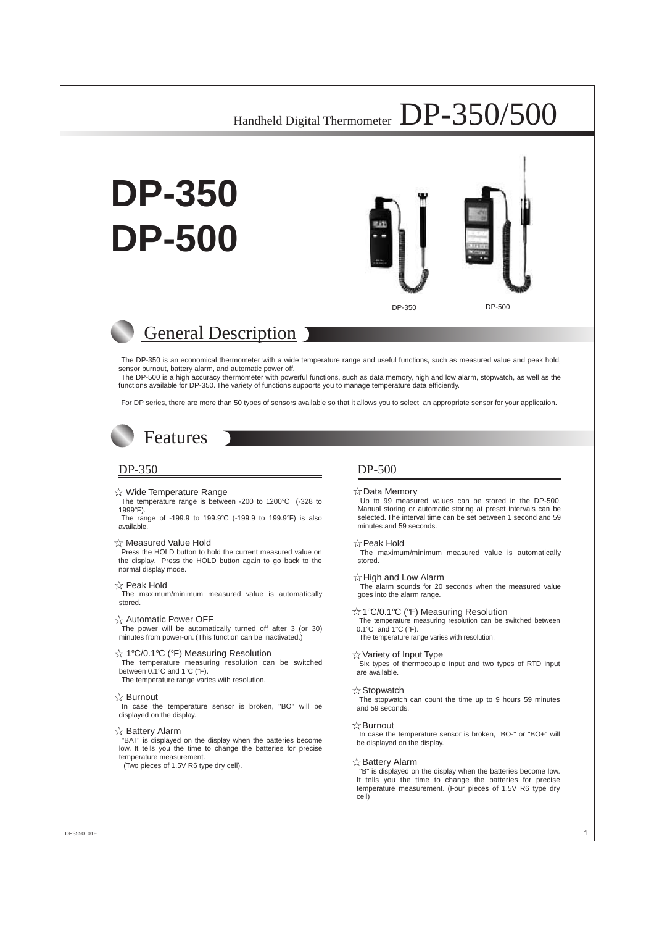# **DP-350 DP-500**





## General Description

The DP-350 is an economical thermometer with a wide temperature range and useful functions, such as measured value and peak hold, sensor burnout, battery alarm, and automatic power off.

The DP-500 is a high accuracy thermometer with powerful functions, such as data memory, high and low alarm, stopwatch, as well as the functions available for DP-350. The variety of functions supports you to manage temperature data efficiently.

For DP series, there are more than 50 types of sensors available so that it allows you to select an appropriate sensor for your application.

## Features

#### $\chi$  Wide Temperature Range

The temperature range is between -200 to 1200°C (-328 to 1999°F).

The range of -199.9 to 199.9°C (-199.9 to 199.9°F) is also available.

#### $\&$  Measured Value Hold

Press the HOLD button to hold the current measured value on the display. Press the HOLD button again to go back to the normal display mode.

#### $\triangle$  Peak Hold

The maximum/minimum measured value is automatically stored.

#### $\chi$  Automatic Power OFF

The power will be automatically turned off after 3 (or 30) minutes from power-on. (This function can be inactivated.)

#### ☆ 1°C/0.1°C (°F) Measuring Resolution

The temperature measuring resolution can be switched between 0.1°C and 1°C (°F).

The temperature range varies with resolution.

#### ☆ Burnout

In case the temperature sensor is broken, "BO" will be displayed on the display.

#### $\hat{\mathbb{X}}$  Battery Alarm

"BAT" is displayed on the display when the batteries become low. It tells you the time to change the batteries for precise temperature measurement.

(Two pieces of 1.5V R6 type dry cell).

#### DP-350 DP-500

#### $\chi$  Data Memory

Up to 99 measured values can be stored in the DP-500. Manual storing or automatic storing at preset intervals can be selected. The interval time can be set between 1 second and 59 minutes and 59 seconds.

#### ☆ Peak Hold

The maximum/minimum measured value is automatically stored.

#### $\chi$  High and Low Alarm

The alarm sounds for 20 seconds when the measured value goes into the alarm range.

#### ☆1℃/0.1℃ (°F) Measuring Resolution

The temperature measuring resolution can be switched between 0.1°C and 1°C (°F).

The temperature range varies with resolution.

#### $\sqrt{x}$  Variety of Input Type

Six types of thermocouple input and two types of RTD input are available.

#### $\sqrt{x}$  Stopwatch

The stopwatch can count the time up to 9 hours 59 minutes and 59 seconds.

#### $\forall z$  Burnout

In case the temperature sensor is broken, "BO-" or "BO+" will be displayed on the display.

#### $\chi$ Battery Alarm

"B" is displayed on the display when the batteries become low. It tells you the time to change the batteries for precise temperature measurement. (Four pieces of 1.5V R6 type dry cell)